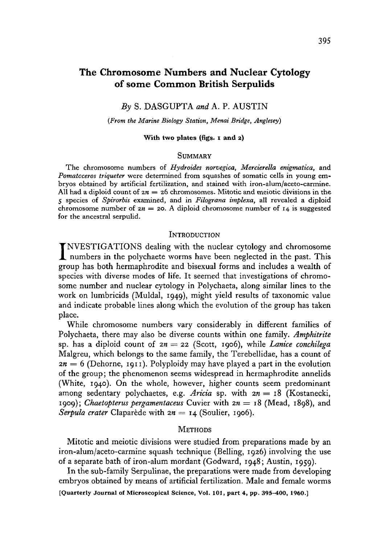# **The Chromosome Numbers and Nuclear Cytology of some Common British Serpulids**

### *By* S. DASGUPTA *and* A. P. AUSTIN

*(From the Marine Biology Station, Menai Bridge, Anglesey)*

#### **With two plates (figs, i and 2)**

### **SUMMARY**

The chromosome numbers of *Hydroides norvegica, Mercierella enigmatica,* and *Pomataceros triqueter* were determined from squashes of somatic cells in young embryos obtained by artificial fertilization, and stained with iron-alum/aceto-carmine. All had a diploid count of  $2n = 26$  chromosomes. Mitotic and meiotic divisions in the 5 species of *Spirorbis* examined, and in *Filograna implexa,* all revealed a diploid chromosome number of  $2n = 20$ . A diploid chromosome number of  $14$  is suggested for the ancestral serpulid.

### **INTRODUCTION**

INVESTIGATIONS dealing with the nuclear cytology and chromosome<br>numbers in the polychaete worms have been neglected in the past. This<br>group has both homographic and bigguing forms and includes a wealth of NVESTIGATIONS dealing with the nuclear cytology and chromosome group has both hermaphrodite and bisexual forms and includes a wealth of species with diverse modes of life. It seemed that investigations of chromosome number and nuclear cytology in Polychaeta, along similar lines to the work on lumbricids (Muldal, 1949), might yield results of taxonomic value and indicate probable lines along which the evolution of the group has taken place.

While chromosome numbers vary considerably in different families of Polychaeta, there may also be diverse counts within one family. *Amphitrite* sp. has a diploid count of  $2n = 22$  (Scott, 1906), while *Lanice conchilega* Malgreu, which belongs to the same family, the Terebellidae, has a count of  $2n = 6$  (Dehorne, 1911). Polyploidy may have played a part in the evolution of the group; the phenomenon seems widespread in hermaphrodite annelids (White, 1940). On the whole, however, higher counts seem predominant among sedentary polychaetes, e.g. *Aricia* sp. with *zn* = 18 (Kostanecki, 1909); *Chaetopterus pergamentaceus* Cuvier with *zn* = 18 (Mead, 1898), and *Serpula crater* Claparede with *zn* = 14 (Soulier, 1906).

# METHODS

Mitotic and meiotic divisions were studied from preparations made by an iron-alum/aceto-carmine squash technique (Belling, 1926) involving the use of a separate bath of iron-alum mordant (Godward, 1948; Austin, 1959).

In the sub-family Serpulinae, the preparations were made from developing embryos obtained by means of artificial fertilization. Male and female worms [Quarterly Journal of Microscopical Science, Vol. **101,** part 4, pp. 395-400, I960.]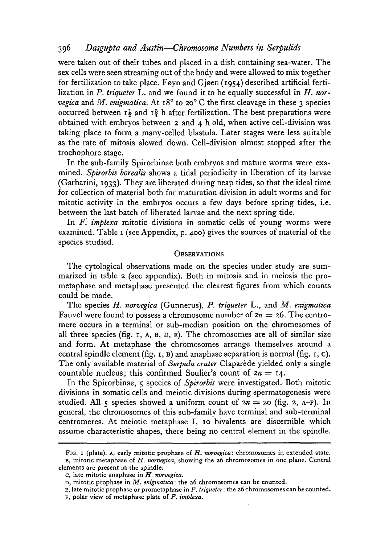# 396 *Dasgupta and Austin*—*Chromosome Numbers in Serpulids*

were taken out of their tubes and placed in a dish containing sea-water. The sex cells were seen streaming out of the body and were allowed to mix together for fertilization to take place. Foyn and Gjoen (1954) described artificial fertilization in *P. triqueter* L. and we found it to be equally successful in *H. nor*vegica and *M. enigmatica*. At 18° to 20° C the first cleavage in these 3 species occurred between  $I^{\frac{1}{2}}$  and  $I^{\frac{3}{4}}$  h after fertilization. The best preparations were obtained with embryos between 2 and 4 h old, when active cell-division was taking place to form a many-celled blastula. Later stages were less suitable as the rate of mitosis slowed down. Cell-division almost stopped after the trochophore stage.

In the sub-family Spirorbinae both embryos and mature worms were examined. *Spirorbis borealis* shows a tidal periodicity in liberation of its larvae (Garbarini, 1933). They are liberated during neap tides, so that the ideal time for collection of material both for maturation division in adult worms and for mitotic activity in the embryos occurs a few days before spring tides, i.e. between the last batch of liberated larvae and the next spring tide.

In *F. implexa* mitotic divisions in somatic cells of young worms were examined. Table 1 (see Appendix, p. 400) gives the sources of material of the species studied.

### **OBSERVATIONS**

The cytological observations made on the species under study are summarized in table 2 (see appendix). Both in mitosis and in meiosis the prometaphase and metaphase presented the clearest figures from which counts could be made.

The species *H. norvegica* (Gunnerus), *P. triqueter* L., and *M. enigmatica* Fauvel were found to possess a chromosome number of  $2n = 26$ . The centromere occurs in a terminal or sub-median position on the chromosomes of all three species (fig. 1, A, B, D, E). The chromosomes are all of similar size and form. At metaphase the chromosomes arrange themselves around a central spindle element (fig. 1, B) and anaphase separation is normal (fig. 1, c). The only available material of *Serpula crater* Claparede yielded only a single countable nucleus; this confirmed Soulier's count of  $2n = 14$ .

In the Spirorbinae, 5 species of *Spirorbis* were investigated. Both mitotic divisions in somatic cells and meiotic divisions during spermatogenesis were studied. All 5 species showed a uniform count of  $2n = 20$  (fig. 2, A-F). In general, the chromosomes of this sub-family have terminal and sub-terminal centromeres. At meiotic metaphase I, 10 bivalents are discernible which assume characteristic shapes, there being no central element in the spindle.

FIG. I (plate), A, early mitotic prophase of *H. norvegica:* chromosomes in extended state. B, mitotic metaphase of *H. norvegica,* showing the 26 chromosomes in one plane. Central elements are present in the spindle.

c, late mitotic anaphase in *H. norvegica.*

D, mitotic prophase in *M. enigmatica:* the 26 chromosomes can be counted.

E, late mitotic prophase or prometaphase in P. *triqueter*: the 26 chromosomes can be counted. F, polar view of metaphase plate of *F. implexa.*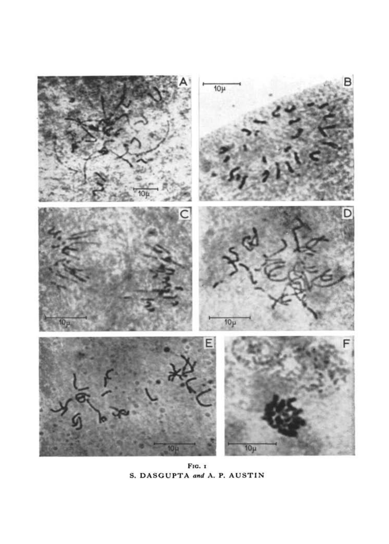

FIG. 1 S. DASGUPTA *and* A. P. AUSTIN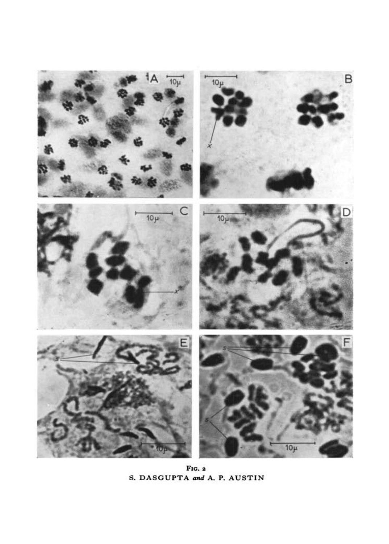

**FIG. 2 S. DASGUPTA and A. P. AUSTIN**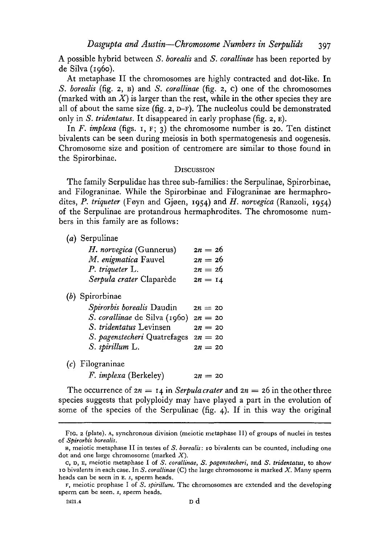A possible hybrid between *S. borealis* and *S. corallinae* has been reported by de Silva (i960).

At metaphase II the chromosomes are highly contracted and dot-like. In *S. borealis* (fig. 2, B) and *S. corallinae* (fig. 2, c) one of the chromosomes (marked with an *X)* is larger than the rest, while in the other species they are all of about the same size (fig. 2, D-F). The nucleolus could be demonstrated only in *S. tridentatus.* It disappeared in early prophase (fig. 2, E).

In *F. implexa* (figs. 1, F; 3) the chromosome number is 20. Ten distinct bivalents can be seen during meiosis in both spermatogenesis and oogenesis. Chromosome size and position of centromere are similar to those found in the Spirorbinae.

### **DISCUSSION**

The family Serpulidae has three sub-families: the Serpulinae, Spirorbinae, and Filograninae. While the Spirorbinae and Filograninae are hermaphrodites, P. triqueter (Føyn and Gjøen, 1954) and *H. norvegica* (Ranzoli, 1954) of the Serpulinae are protandrous hermaphrodites. The chromosome numbers in this family are as follows:

*(a)* Serpulinae

| H. norvegica (Gunnerus)       | $2n = 26$ |
|-------------------------------|-----------|
| M. enigmatica Fauvel          | $2n = 26$ |
| P. triqueter L.               | $2n = 26$ |
| Serpula crater Claparède      | $2n = 14$ |
| (b) Spirorbinae               |           |
| Spirorbis borealis Daudin     | $2n = 20$ |
| S. corallinae de Silva (1960) | $2n = 20$ |
| S. tridentatus Levinsen       | $2n = 20$ |
| S. pagenstecheri Quatrefages  | $2n = 20$ |
| S. spirillum L.               | $2n = 20$ |
| $(c)$ Filograninae            |           |
| <i>F. implexa</i> (Berkeley)  | $2n = 20$ |

The occurrence of  $2n = 14$  in *Serpula crater* and  $2n = 26$  in the other three species suggests that polyploidy may have played a part in the evolution of some of the species of the Serpulinae (fig. 4). If in this way the original

FIG. 2 (plate). A, synchronous division (meiotic metaphase II) of groups of nuclei in testes of *Spirorbis borealis.*

B, meiotic metaphase II in testes of *S. borealis:* 10 bivalents can be counted, including one dot and one large chromosome (marked *X).*

c, D, E, meiotic metaphase I of *S. corallinae, S. pagenstecheri,* and *S. tridentatus,* to show 10 bivalents in each case. In *S. corallinae* (C) the large chromosome is marked ^L. Many sperm heads can be seen in E. s, sperm heads.

F, meiotic prophase I of *S. spirillum.* The chromosomes are extended and the developing sperm can be seen, *s,* sperm heads.

<sup>2421.4</sup> D d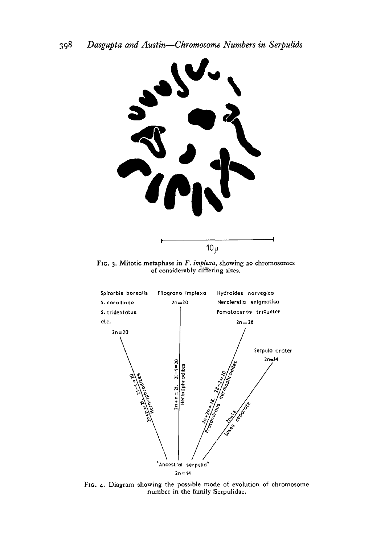

FIG. 3. Mitotic metaphase in *F. implexa,* showing 20 chromosomes of considerably differing sizes.



FIG. 4. Diagram showing the possible mode of evolution of chromosome number in the family Serpulidae.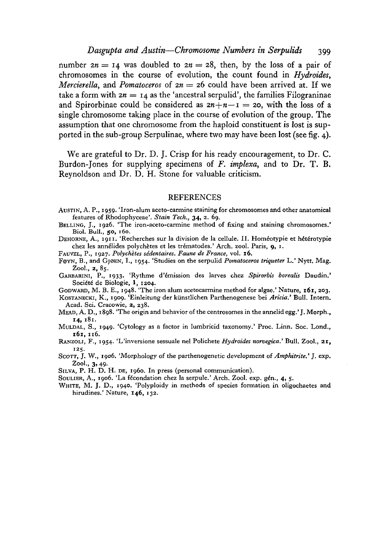## *Dasgupta and Austin—Chromosome Numbers in Serpulids* 399

number  $2n = 14$  was doubled to  $2n = 28$ , then, by the loss of a pair of chromosomes in the course of evolution, the count found in *Hydroides, Mercierella,* and *Pomatoceros* of  $2n = 26$  could have been arrived at. If we take a form with  $2n = 14$  as the 'ancestral serpulid', the families Filograninae and Spirorbinae could be considered as  $2n+n-1 = 20$ , with the loss of a single chromosome taking place in the course of evolution of the group. The assumption that one chromosome from the haploid constituent is lost is supported in the sub-group Serpulinae, where two may have been lost (see fig. 4).

We are grateful to Dr. D. J. Crisp for his ready encouragement, to Dr. C. Burdon-Jones for supplying specimens of *F. implexa,* and to Dr. T. B. Reynoldson and Dr. D. H. Stone for valuable criticism.

### **REFERENCES**

- AUSTIN, A. P., 1959. 'Iron-alum aceto-carmine staining for chromosomes and other anatomical features of Rhodophyceae'. Stain Tech., 34, 2. 69.
- 

BELLING, J., 1926. 'The iron-aceto-carmine method of fixing and staining chromosomes.'<br>Biol. Bull., 50, 160.<br>DEHORNE, A., 1911. 'Recherches sur la division de la cellule. II. Homéotypie et hétérotypie<br>chez les annélides p

FOYN, B., and GjOEN, I., 1954. 'Studies on the serpulid *Pomatoceros triqueter* L.' Nytt. Mag.

GARBARINI, P., 1933. 'Rythme d'émission des larves chez Spirorbis borealis Daudin.'<br>Société de Biologie, 1, 1204.

GODWARD, M. B. E., 1948. 'The iron alum acetocarmine method for algae.' Nature, 161, 203. Kostavaccki, K., 1999. 'Einleitung der künstlichen Parthenogenese bei Aricia.' Bull. Intern.<br>Acad. Sci. Cracowie. 2. 238.

MEAD, A. D., 1898. 'The origin and behavior of the centrosomes in the annelid egg.' J. Morph.,  $\mathbf{14.} 181.$ 

**14,** 181. MULDAL, S., 1949. 'Cytology as a factor in lumbricid taxonomy.' Proc. Linn. Soc. Lond.,

**161,** 116. RANZOLI, F., 1954. 'L'inversione sessuale nel Polichete *Hydroides norvegica.'* Bull. Zool., 21,

Scorr, J. W., 1906. 'Morphology of the parthenogenetic development of *Amphitrite*.' J. exp.<br>Zool., 3, 49.

SILVA, P. H. D. H. DE, 1960. In press (personal communication).<br>SOULIER, A., 1906. 'La fécondation chez la serpule.' Arch. Zool. exp. gén., 4, 5.<br>WHITE, M. J. D., 1940. 'Polyploidy in methods of species formation in oligoc hirudines.' Nature, **146,** 132.